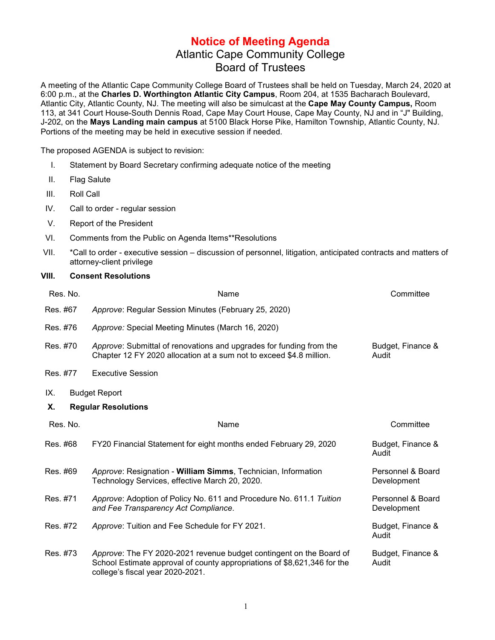## **Notice of Meeting Agenda** Atlantic Cape Community College Board of Trustees

A meeting of the Atlantic Cape Community College Board of Trustees shall be held on Tuesday, March 24, 2020 at 6:00 p.m., at the **Charles D. Worthington Atlantic City Campus**, Room 204, at 1535 Bacharach Boulevard, Atlantic City, Atlantic County, NJ. The meeting will also be simulcast at the **Cape May County Campus,** Room 113, at 341 Court House-South Dennis Road, Cape May Court House, Cape May County, NJ and in "J" Building, J-202, on the **Mays Landing main campus** at 5100 Black Horse Pike, Hamilton Township, Atlantic County, NJ. Portions of the meeting may be held in executive session if needed.

The proposed AGENDA is subject to revision:

- I. Statement by Board Secretary confirming adequate notice of the meeting
- II. Flag Salute
- III. Roll Call
- IV. Call to order regular session
- V. Report of the President
- VI. Comments from the Public on Agenda Items\*\*Resolutions
- VII. \*Call to order executive session discussion of personnel, litigation, anticipated contracts and matters of attorney-client privilege

## **VIII. Consent Resolutions**

| Res. No. | Name                                                                                                                                                                                | Committee                        |
|----------|-------------------------------------------------------------------------------------------------------------------------------------------------------------------------------------|----------------------------------|
| Res. #67 | Approve: Regular Session Minutes (February 25, 2020)                                                                                                                                |                                  |
| Res. #76 | Approve: Special Meeting Minutes (March 16, 2020)                                                                                                                                   |                                  |
| Res. #70 | Approve: Submittal of renovations and upgrades for funding from the<br>Chapter 12 FY 2020 allocation at a sum not to exceed \$4.8 million.                                          | Budget, Finance &<br>Audit       |
| Res. #77 | <b>Executive Session</b>                                                                                                                                                            |                                  |
| IX.      | <b>Budget Report</b>                                                                                                                                                                |                                  |
| Х.       | <b>Regular Resolutions</b>                                                                                                                                                          |                                  |
| Res. No. | Name                                                                                                                                                                                | Committee                        |
| Res. #68 | FY20 Financial Statement for eight months ended February 29, 2020                                                                                                                   | Budget, Finance &<br>Audit       |
| Res. #69 | Approve: Resignation - William Simms, Technician, Information<br>Technology Services, effective March 20, 2020.                                                                     | Personnel & Board<br>Development |
| Res. #71 | Approve: Adoption of Policy No. 611 and Procedure No. 611.1 Tuition<br>and Fee Transparency Act Compliance.                                                                         | Personnel & Board<br>Development |
| Res. #72 | Approve: Tuition and Fee Schedule for FY 2021.                                                                                                                                      | Budget, Finance &<br>Audit       |
| Res. #73 | Approve: The FY 2020-2021 revenue budget contingent on the Board of<br>School Estimate approval of county appropriations of \$8,621,346 for the<br>college's fiscal year 2020-2021. | Budget, Finance &<br>Audit       |